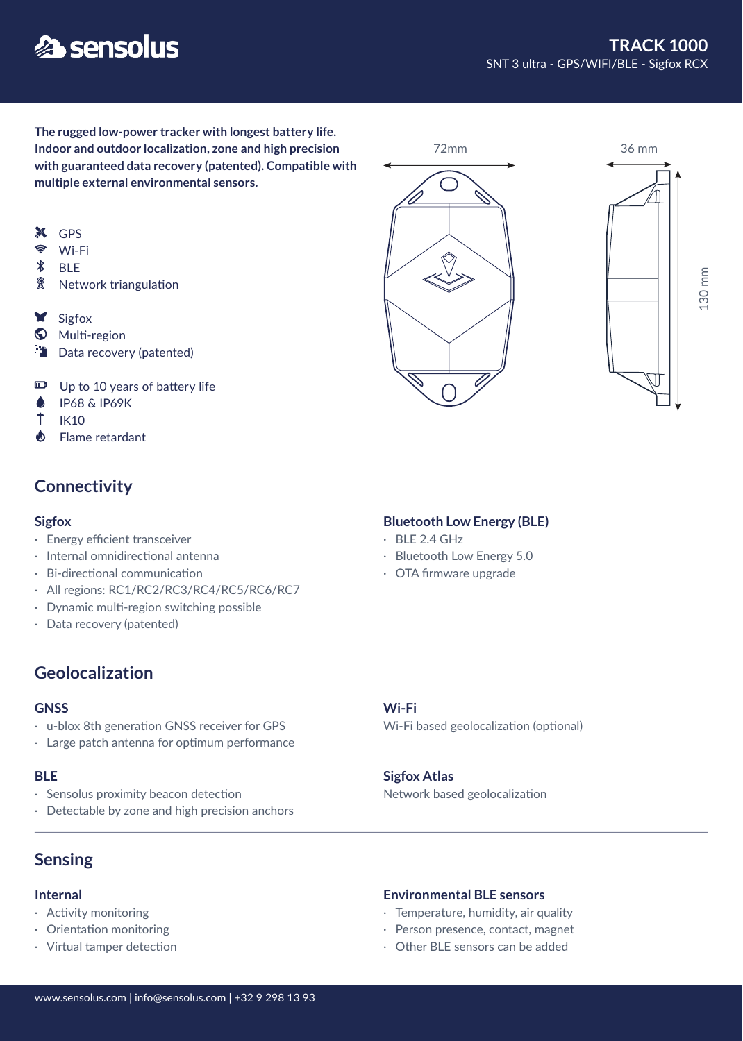# **各 sensolus**

**The rugged low-power tracker with longest battery life. Indoor and outdoor localization, zone and high precision with guaranteed data recovery (patented). Compatible with multiple external environmental sensors.**

- **X** GPS
- $\widehat{\mathbb{R}}$ Wi-Fi
- $\ast$ BLE
- 2 Network triangulation
- **X** Sigfox
- **W** Multi-region
- Data recovery (patented)
- Up to 10 years of battery life
- Å IP68 & IP69K
- Ť IK10
- $\clubsuit$ Flame retardant

# **Connectivity**

- · Energy efficient transceiver
- · Internal omnidirectional antenna
- · Bi-directional communication
- · All regions: RC1/RC2/RC3/RC4/RC5/RC6/RC7
- · Dynamic multi-region switching possible
- · Data recovery (patented)

# **Geolocalization**

#### **GNSS**

- · u-blox 8th generation GNSS receiver for GPS
- · Large patch antenna for optimum performance

#### **BLE**

- · Sensolus proximity beacon detection
- · Detectable by zone and high precision anchors

# **Sensing**

#### **Internal**

- · Activity monitoring
- · Orientation monitoring
- · Virtual tamper detection

### **Sigfox** Bluetooth Low Energy (BLE)

- $\cdot$  BLE 2.4 GHz
- · Bluetooth Low Energy 5.0
- · OTA firmware upgrade

#### **Wi-Fi**

Wi-Fi based geolocalization (optional)

#### **Sigfox Atlas**

Network based geolocalization

#### **Environmental BLE sensors**

- · Temperature, humidity, air quality
- · Person presence, contact, magnet
- · Other BLE sensors can be added







130 mm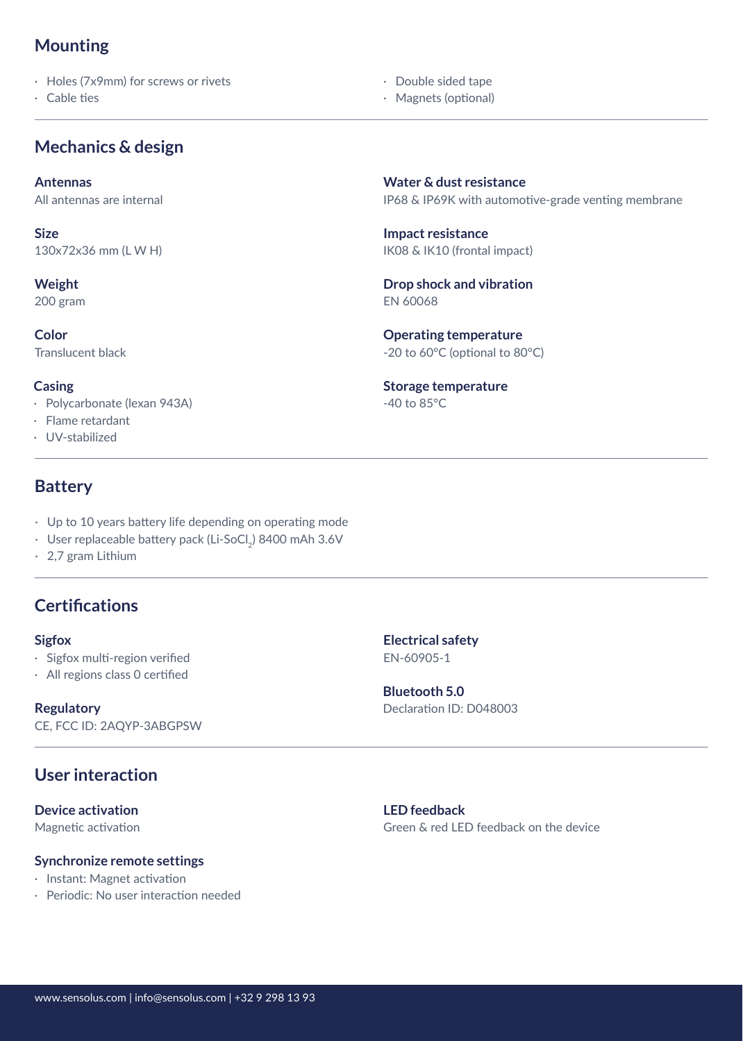# **Mounting**

· Holes (7x9mm) for screws or rivets

· Cable ties

# **Mechanics & design**

**Antennas**

All antennas are internal

**Size** 130x72x36 mm (L W H)

### **Weight**

200 gram

**Color** Translucent black

#### **Casing**

- · Polycarbonate (lexan 943A)
- · Flame retardant
- · UV-stabilized

# **Battery**

- · Up to 10 years battery life depending on operating mode
- $\,\cdot\,$  User replaceable battery pack (Li-SoCl $_2$ ) 8400 mAh 3.6V
- · 2,7 gram Lithium

# **Certifications**

- · Sigfox multi-region verified
- · All regions class 0 certified

### **Regulatory**

CE, FCC ID: 2AQYP-3ABGPSW

# **User interaction**

**Device activation**

Magnetic activation

#### **Synchronize remote settings**

- · Instant: Magnet activation
- · Periodic: No user interaction needed

IP68 & IP69K with automotive-grade venting membrane **Water & dust resistance**

IK08 & IK10 (frontal impact) **Impact resistance**

 · Double sided tape · Magnets (optional)

EN 60068 **Drop shock and vibration**

-20 to 60°C (optional to 80°C) **Operating temperature**

-40 to 85°C **Storage temperature**

**Sigfox Electrical safety** EN-60905-1

> Declaration ID: D048003 **Bluetooth 5.0**

**LED feedback** Green & red LED feedback on the device